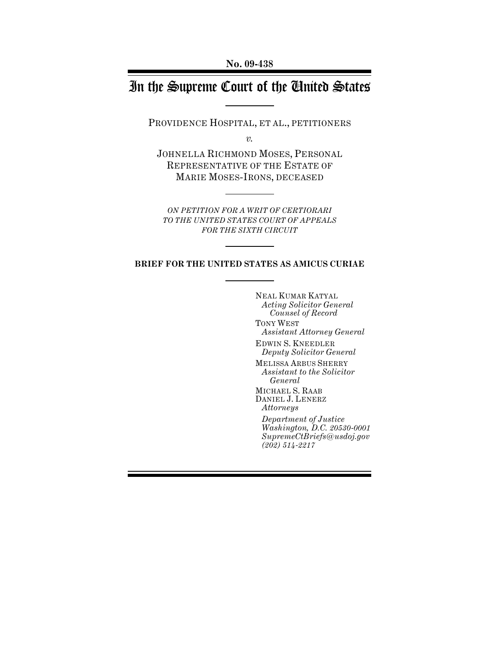# In the Supreme Court of the United States

PROVIDENCE HOSPITAL, ET AL., PETITIONERS

*v.*

JOHNELLA RICHMOND MOSES, PERSONAL REPRESENTATIVE OF THE ESTATE OF MARIE MOSES-IRONS, DECEASED

*ON PETITION FOR A WRIT OF CERTIORARI TO THE UNITED STATES COURT OF APPEALS FOR THE SIXTH CIRCUIT*

#### **BRIEF FOR THE UNITED STATES AS AMICUS CURIAE**

NEAL KUMAR KATYAL *Acting Solicitor General Counsel of Record* TONY WEST *Assistant Attorney General* EDWIN S. KNEEDLER *Deputy Solicitor General* MELISSA ARBUS SHERRY *Assistant to the Solicitor General* MICHAEL S. RAAB DANIEL J. LENERZ *Attorneys* 

*Department of Justice Washington, D.C. 20530-0001 SupremeCtBriefs@usdoj.gov (202) 514-2217*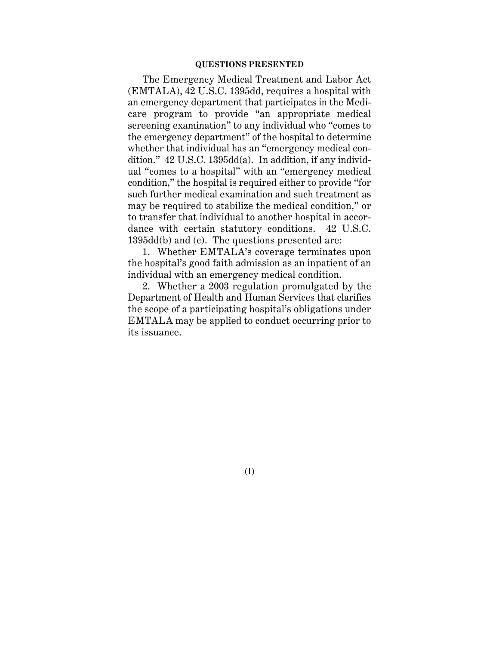#### **QUESTIONS PRESENTED**

The Emergency Medical Treatment and Labor Act (EMTALA), 42 U.S.C. 1395dd, requires a hospital with an emergency department that participates in the Medicare program to provide "an appropriate medical screening examination" to any individual who "comes to the emergency department" of the hospital to determine whether that individual has an "emergency medical condition." 42 U.S.C. 1395dd(a). In addition, if any individual "comes to a hospital" with an "emergency medical condition," the hospital is required either to provide "for such further medical examination and such treatment as may be required to stabilize the medical condition," or to transfer that individual to another hospital in accordance with certain statutory conditions. 42 U.S.C. 1395dd(b) and (c). The questions presented are:

1. Whether EMTALA's coverage terminates upon the hospital's good faith admission as an inpatient of an individual with an emergency medical condition.

2. Whether a 2003 regulation promulgated by the Department of Health and Human Services that clarifies the scope of a participating hospital's obligations under EMTALA may be applied to conduct occurring prior to its issuance.

(I)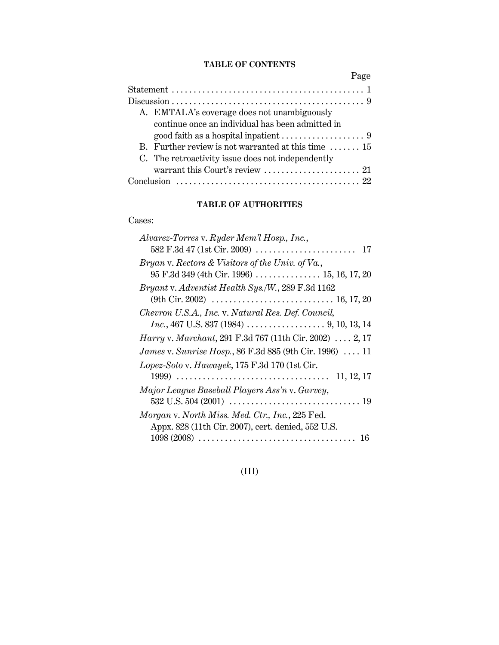# **TABLE OF CONTENTS**

| Page                                                                                                    |
|---------------------------------------------------------------------------------------------------------|
|                                                                                                         |
|                                                                                                         |
| A. EMTALA's coverage does not unambiguously                                                             |
| continue once an individual has been admitted in                                                        |
|                                                                                                         |
| B. Further review is not warranted at this time $\dots \dots$ 15                                        |
| C. The retroactivity issue does not independently                                                       |
| warrant this Court's review $\dots\dots\dots\dots\dots\dots\dots$ 21                                    |
| Conclusion $\ldots \ldots \ldots \ldots \ldots \ldots \ldots \ldots \ldots \ldots \ldots \ldots \ldots$ |

# **TABLE OF AUTHORITIES**

# Cases:

| Alvarez-Torres v. Ryder Mem'l Hosp., Inc.,                                                                |
|-----------------------------------------------------------------------------------------------------------|
|                                                                                                           |
| Bryan v. Rectors & Visitors of the Univ. of Va.,                                                          |
| 95 F.3d 349 (4th Cir. 1996)  15, 16, 17, 20                                                               |
| Bryant v. Adventist Health Sys./W., 289 F.3d 1162                                                         |
| (9th Cir. 2002) $\ldots \ldots \ldots \ldots \ldots \ldots \ldots \ldots \ldots \ldots \ldots$ 16, 17, 20 |
| Chevron U.S.A., Inc. v. Natural Res. Def. Council,                                                        |
| <i>Inc.</i> , 467 U.S. 837 (1984) $\ldots$ 9, 10, 13, 14                                                  |
| <i>Harry v. Marchant</i> , 291 F.3d 767 (11th Cir. 2002)  2, 17                                           |
| James v. Sunrise Hosp., 86 F.3d 885 (9th Cir. 1996)  11                                                   |
| Lopez-Soto v. Hawayek, 175 F.3d 170 (1st Cir.                                                             |
|                                                                                                           |
| Major League Baseball Players Ass'n v. Garvey,                                                            |
|                                                                                                           |
| Morgan v. North Miss. Med. Ctr., Inc., 225 Fed.                                                           |
| Appx. 828 (11th Cir. 2007), cert. denied, 552 U.S.                                                        |
| $1098 (2008) \ldots \ldots \ldots \ldots \ldots \ldots \ldots \ldots \ldots \ldots \ldots$<br>16          |

(III)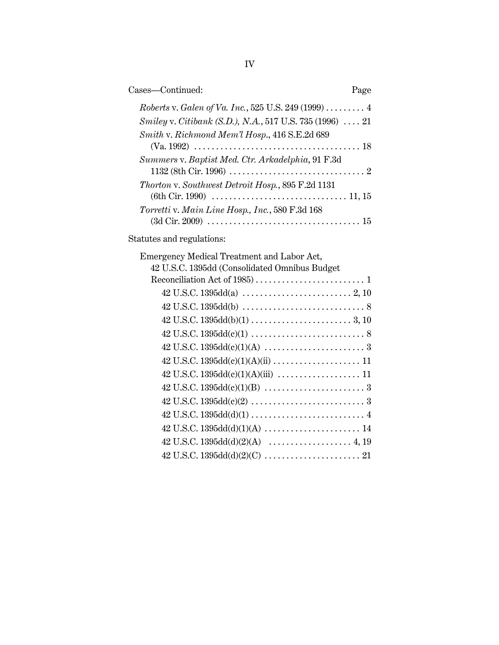| Cases-Continued:                                                                                                                                                 | Page |
|------------------------------------------------------------------------------------------------------------------------------------------------------------------|------|
| Roberts v. Galen of Va. Inc., 525 U.S. 249 (1999) 4<br>Smiley v. Citibank (S.D.), N.A., 517 U.S. 735 (1996)  21<br>Smith v. Richmond Mem'l Hosp., 416 S.E.2d 689 |      |
| Summers v. Baptist Med. Ctr. Arkadelphia, 91 F.3d                                                                                                                |      |
| Thorton v. Southwest Detroit Hosp., 895 F.2d 1131<br>Torretti v. Main Line Hosp., Inc., 580 F.3d 168                                                             |      |
|                                                                                                                                                                  |      |
| Statutes and regulations:                                                                                                                                        |      |
| Emergency Medical Treatment and Labor Act,<br>42 U.S.C. 1395dd (Consolidated Omnibus Budget                                                                      |      |
|                                                                                                                                                                  |      |
|                                                                                                                                                                  |      |
|                                                                                                                                                                  |      |
|                                                                                                                                                                  |      |
|                                                                                                                                                                  |      |
|                                                                                                                                                                  |      |
|                                                                                                                                                                  |      |
|                                                                                                                                                                  |      |
|                                                                                                                                                                  |      |
|                                                                                                                                                                  |      |
|                                                                                                                                                                  |      |
|                                                                                                                                                                  |      |
|                                                                                                                                                                  |      |
|                                                                                                                                                                  |      |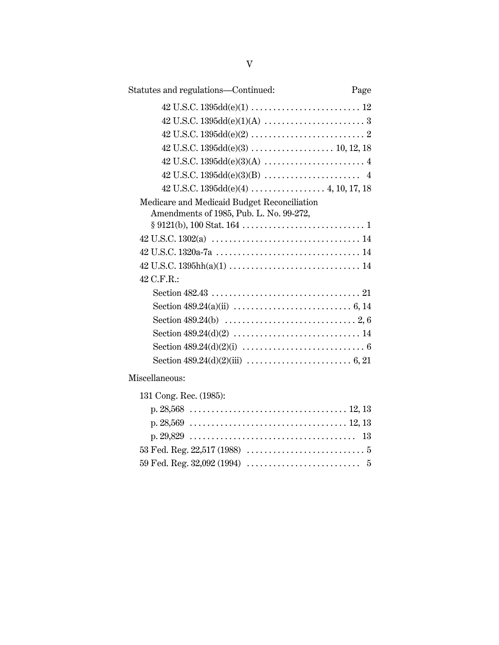| Statutes and regulations-Continued:                                                                  | Page |
|------------------------------------------------------------------------------------------------------|------|
|                                                                                                      |      |
|                                                                                                      |      |
|                                                                                                      |      |
|                                                                                                      |      |
|                                                                                                      |      |
| $42 \text{ U.S.C. } 1395 \text{dd}(e)(3)(B) \dots \dots \dots \dots \dots \dots \dots \dots \quad 4$ |      |
|                                                                                                      |      |
| Medicare and Medicaid Budget Reconciliation                                                          |      |
| Amendments of 1985, Pub. L. No. 99-272,                                                              |      |
|                                                                                                      |      |
|                                                                                                      |      |
|                                                                                                      |      |
|                                                                                                      |      |
| 42 C.F.R.:                                                                                           |      |
|                                                                                                      |      |
|                                                                                                      |      |
|                                                                                                      |      |
|                                                                                                      |      |
|                                                                                                      |      |
|                                                                                                      |      |
| Miscellaneous:                                                                                       |      |
| 131 Cong. Rec. (1985):                                                                               |      |
|                                                                                                      |      |
|                                                                                                      |      |
|                                                                                                      |      |
|                                                                                                      |      |
|                                                                                                      |      |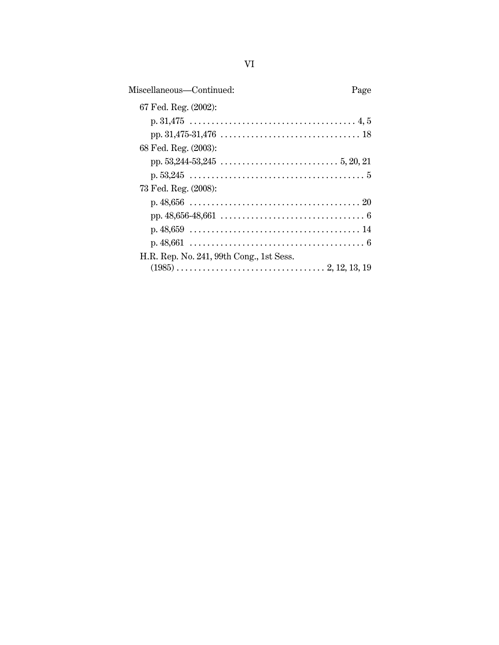| Miscellaneous—Continued:                 | Page |
|------------------------------------------|------|
| 67 Fed. Reg. (2002):                     |      |
|                                          |      |
|                                          |      |
| 68 Fed. Reg. (2003):                     |      |
|                                          |      |
|                                          |      |
| 73 Fed. Reg. (2008):                     |      |
|                                          |      |
|                                          |      |
|                                          |      |
|                                          |      |
| H.R. Rep. No. 241, 99th Cong., 1st Sess. |      |
|                                          |      |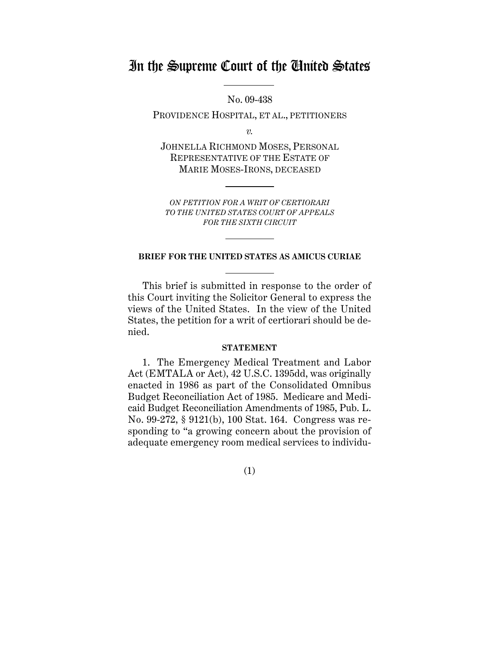# In the Supreme Court of the United States

No. 09-438

PROVIDENCE HOSPITAL, ET AL., PETITIONERS

*v.*

JOHNELLA RICHMOND MOSES, PERSONAL REPRESENTATIVE OF THE ESTATE OF MARIE MOSES-IRONS, DECEASED

*ON PETITION FOR A WRIT OF CERTIORARI TO THE UNITED STATES COURT OF APPEALS FOR THE SIXTH CIRCUIT*

#### **BRIEF FOR THE UNITED STATES AS AMICUS CURIAE**

This brief is submitted in response to the order of this Court inviting the Solicitor General to express the views of the United States. In the view of the United States, the petition for a writ of certiorari should be denied.

#### **STATEMENT**

1. The Emergency Medical Treatment and Labor Act (EMTALA or Act), 42 U.S.C. 1395dd, was originally enacted in 1986 as part of the Consolidated Omnibus Budget Reconciliation Act of 1985. Medicare and Medicaid Budget Reconciliation Amendments of 1985, Pub. L. No. 99-272, § 9121(b), 100 Stat. 164. Congress was responding to "a growing concern about the provision of adequate emergency room medical services to individu-

(1)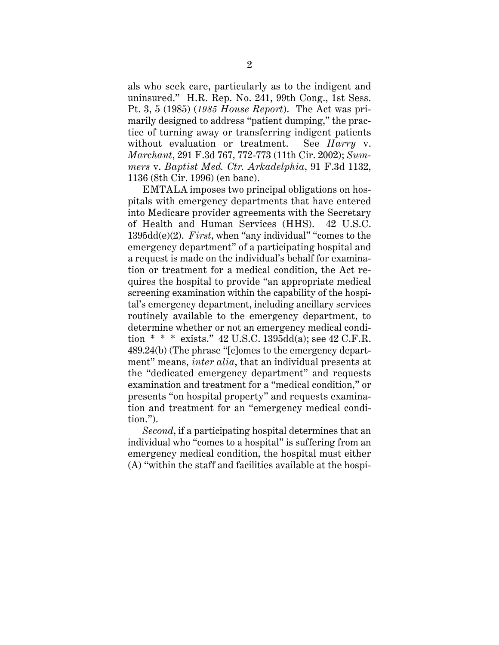als who seek care, particularly as to the indigent and uninsured." H.R. Rep. No. 241, 99th Cong., 1st Sess. Pt. 3, 5 (1985) (*1985 House Report*). The Act was primarily designed to address "patient dumping," the practice of turning away or transferring indigent patients without evaluation or treatment. See *Harry* v. *Marchant*, 291 F.3d 767, 772-773 (11th Cir. 2002); *Summers* v. *Baptist Med. Ctr. Arkadelphia*, 91 F.3d 1132, 1136 (8th Cir. 1996) (en banc).

EMTALA imposes two principal obligations on hospitals with emergency departments that have entered into Medicare provider agreements with the Secretary of Health and Human Services (HHS). 42 U.S.C. 1395dd(e)(2). *First*, when "any individual" "comes to the emergency department" of a participating hospital and a request is made on the individual's behalf for examination or treatment for a medical condition, the Act requires the hospital to provide "an appropriate medical screening examination within the capability of the hospital's emergency department, including ancillary services routinely available to the emergency department, to determine whether or not an emergency medical condition  $* * *$  exists." 42 U.S.C. 1395dd(a); see 42 C.F.R. 489.24(b) (The phrase "[c]omes to the emergency department" means, *inter alia*, that an individual presents at the "dedicated emergency department" and requests examination and treatment for a "medical condition," or presents "on hospital property" and requests examination and treatment for an "emergency medical condition.").

*Second*, if a participating hospital determines that an individual who "comes to a hospital" is suffering from an emergency medical condition, the hospital must either (A) "within the staff and facilities available at the hospi-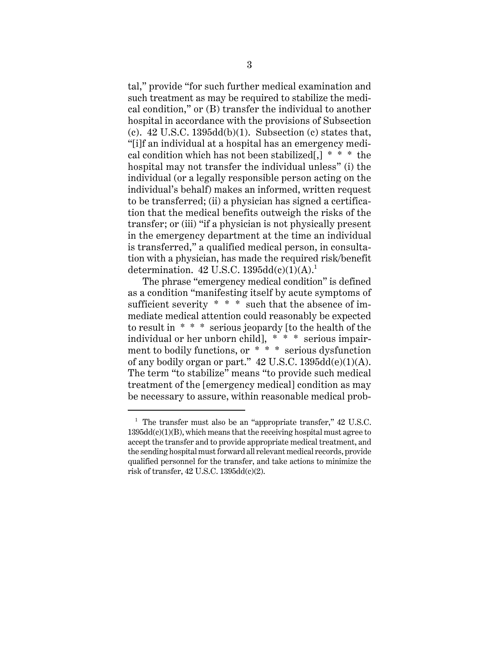tal," provide "for such further medical examination and such treatment as may be required to stabilize the medical condition," or (B) transfer the individual to another hospital in accordance with the provisions of Subsection (c).  $42$  U.S.C. 1395dd(b)(1). Subsection (c) states that, "[i]f an individual at a hospital has an emergency medical condition which has not been stabilized[,]  $* * *$  the hospital may not transfer the individual unless" (i) the individual (or a legally responsible person acting on the individual's behalf) makes an informed, written request to be transferred; (ii) a physician has signed a certification that the medical benefits outweigh the risks of the transfer; or (iii) "if a physician is not physically present in the emergency department at the time an individual is transferred," a qualified medical person, in consultation with a physician, has made the required risk/benefit determination.  $42$  U.S.C.  $1395dd(c)(1)(A).<sup>1</sup>$ 

The phrase "emergency medical condition" is defined as a condition "manifesting itself by acute symptoms of sufficient severity  $* * *$  such that the absence of immediate medical attention could reasonably be expected to result in \* \* \* serious jeopardy [to the health of the individual or her unborn child], \* \* \* serious impairment to bodily functions, or \* \* \* serious dysfunction of any bodily organ or part."  $42$  U.S.C.  $1395dd(e)(1)(A)$ . The term "to stabilize" means "to provide such medical treatment of the [emergency medical] condition as may be necessary to assure, within reasonable medical prob-

 $1$  The transfer must also be an "appropriate transfer," 42 U.S.C.  $1395dd(c)(1)(B)$ , which means that the receiving hospital must agree to accept the transfer and to provide appropriate medical treatment, and the sending hospital must forward all relevant medical records, provide qualified personnel for the transfer, and take actions to minimize the risk of transfer, 42 U.S.C. 1395dd(c)(2).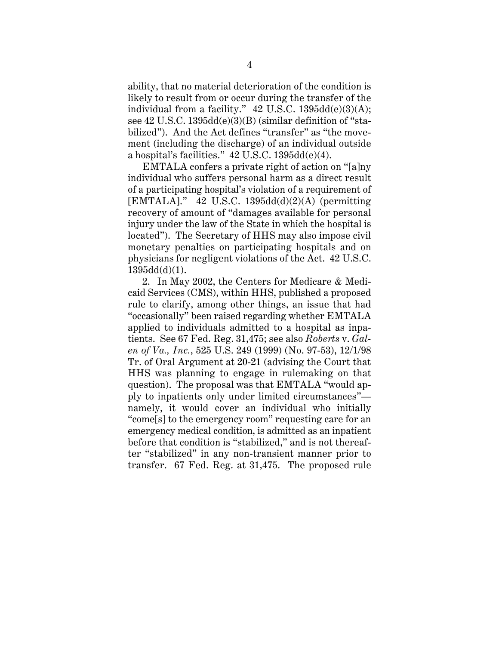ability, that no material deterioration of the condition is likely to result from or occur during the transfer of the individual from a facility."  $42 \text{ U.S.C. } 1395 \text{dd}(e)(3)(A);$ see 42 U.S.C. 1395dd(e)(3)(B) (similar definition of "stabilized"). And the Act defines "transfer" as "the movement (including the discharge) of an individual outside a hospital's facilities." 42 U.S.C. 1395dd(e)(4).

EMTALA confers a private right of action on "[a]ny individual who suffers personal harm as a direct result of a participating hospital's violation of a requirement of  $[EMTALA].$ " 42 U.S.C. 1395dd(d)(2)(A) (permitting recovery of amount of "damages available for personal injury under the law of the State in which the hospital is located"). The Secretary of HHS may also impose civil monetary penalties on participating hospitals and on physicians for negligent violations of the Act. 42 U.S.C. 1395dd(d)(1).

2. In May 2002, the Centers for Medicare & Medicaid Services (CMS), within HHS, published a proposed rule to clarify, among other things, an issue that had "occasionally" been raised regarding whether EMTALA applied to individuals admitted to a hospital as inpatients. See 67 Fed. Reg. 31,475; see also *Roberts* v. *Galen of Va., Inc.*, 525 U.S. 249 (1999) (No. 97-53), 12/1/98 Tr. of Oral Argument at 20-21 (advising the Court that HHS was planning to engage in rulemaking on that question). The proposal was that EMTALA "would apply to inpatients only under limited circumstances" namely, it would cover an individual who initially "come[s] to the emergency room" requesting care for an emergency medical condition, is admitted as an inpatient before that condition is "stabilized," and is not thereafter "stabilized" in any non-transient manner prior to transfer. 67 Fed. Reg. at 31,475. The proposed rule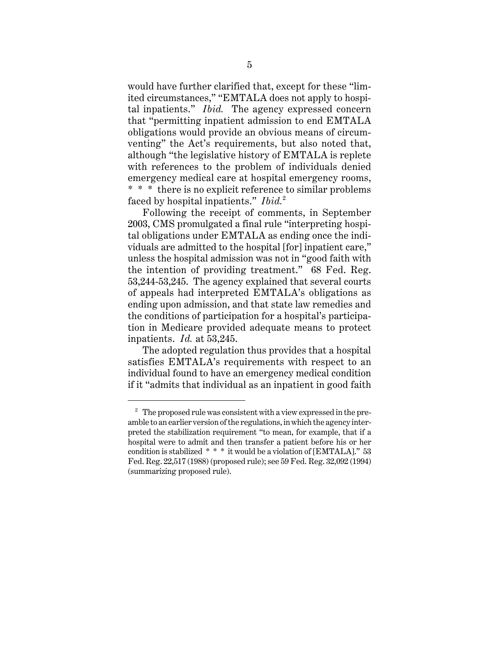would have further clarified that, except for these "limited circumstances," "EMTALA does not apply to hospital inpatients." *Ibid.* The agency expressed concern that "permitting inpatient admission to end EMTALA obligations would provide an obvious means of circumventing" the Act's requirements, but also noted that, although "the legislative history of EMTALA is replete with references to the problem of individuals denied emergency medical care at hospital emergency rooms, \* \* \* there is no explicit reference to similar problems faced by hospital inpatients." *Ibid.*<sup>2</sup>

Following the receipt of comments, in September 2003, CMS promulgated a final rule "interpreting hospital obligations under EMTALA as ending once the individuals are admitted to the hospital [for] inpatient care," unless the hospital admission was not in "good faith with the intention of providing treatment." 68 Fed. Reg. 53,244-53,245. The agency explained that several courts of appeals had interpreted EMTALA's obligations as ending upon admission, and that state law remedies and the conditions of participation for a hospital's participation in Medicare provided adequate means to protect inpatients. *Id.* at 53,245.

The adopted regulation thus provides that a hospital satisfies EMTALA's requirements with respect to an individual found to have an emergency medical condition if it "admits that individual as an inpatient in good faith

 $2\degree$  The proposed rule was consistent with a view expressed in the preamble to an earlier version of the regulations, in which the agency interpreted the stabilization requirement "to mean, for example, that if a hospital were to admit and then transfer a patient before his or her condition is stabilized \* \* \* it would be a violation of [EMTALA]." 53 Fed. Reg. 22,517 (1988) (proposed rule); see 59 Fed. Reg. 32,092 (1994) (summarizing proposed rule).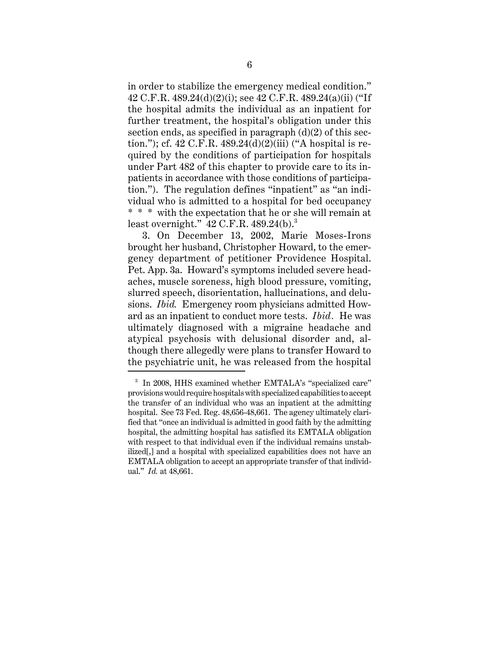in order to stabilize the emergency medical condition." 42 C.F.R. 489.24(d)(2)(i); see 42 C.F.R. 489.24(a)(ii) ("If the hospital admits the individual as an inpatient for further treatment, the hospital's obligation under this section ends, as specified in paragraph (d)(2) of this section."); cf. 42 C.F.R.  $489.24(d)(2)(iii)$  ("A hospital is required by the conditions of participation for hospitals under Part 482 of this chapter to provide care to its inpatients in accordance with those conditions of participation."). The regulation defines "inpatient" as "an individual who is admitted to a hospital for bed occupancy \* \* \* with the expectation that he or she will remain at least overnight."  $42$  C.F.R.  $489.24(b)$ .

3. On December 13, 2002, Marie Moses-Irons brought her husband, Christopher Howard, to the emergency department of petitioner Providence Hospital. Pet. App. 3a. Howard's symptoms included severe headaches, muscle soreness, high blood pressure, vomiting, slurred speech, disorientation, hallucinations, and delusions. *Ibid.* Emergency room physicians admitted Howard as an inpatient to conduct more tests. *Ibid.* He was ultimately diagnosed with a migraine headache and atypical psychosis with delusional disorder and, although there allegedly were plans to transfer Howard to the psychiatric unit, he was released from the hospital

<sup>&</sup>lt;sup>3</sup> In 2008, HHS examined whether EMTALA's "specialized care" provisions would require hospitals with specialized capabilities to accept the transfer of an individual who was an inpatient at the admitting hospital. See 73 Fed. Reg. 48,656-48,661. The agency ultimately clarified that "once an individual is admitted in good faith by the admitting hospital, the admitting hospital has satisfied its EMTALA obligation with respect to that individual even if the individual remains unstabilized[,] and a hospital with specialized capabilities does not have an EMTALA obligation to accept an appropriate transfer of that individual." *Id.* at 48,661.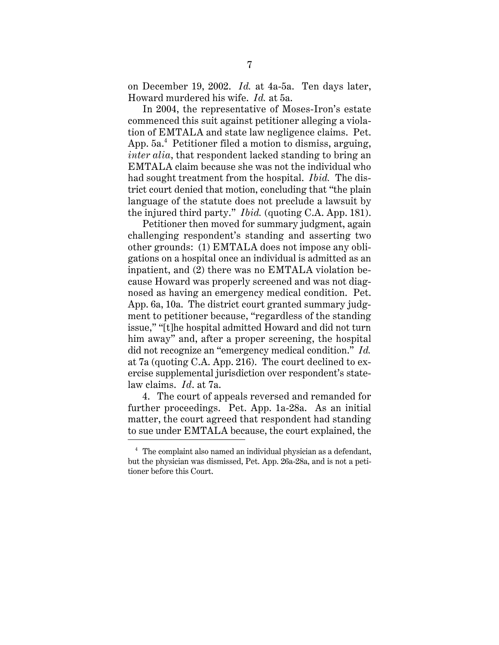on December 19, 2002. *Id.* at 4a-5a. Ten days later, Howard murdered his wife. *Id.* at 5a.

In 2004, the representative of Moses-Iron's estate commenced this suit against petitioner alleging a violation of EMTALA and state law negligence claims. Pet. App. 5a.<sup>4</sup> Petitioner filed a motion to dismiss, arguing, *inter alia*, that respondent lacked standing to bring an EMTALA claim because she was not the individual who had sought treatment from the hospital. *Ibid.* The district court denied that motion, concluding that "the plain language of the statute does not preclude a lawsuit by the injured third party." *Ibid.* (quoting C.A. App. 181).

Petitioner then moved for summary judgment, again challenging respondent's standing and asserting two other grounds: (1) EMTALA does not impose any obligations on a hospital once an individual is admitted as an inpatient, and (2) there was no EMTALA violation because Howard was properly screened and was not diagnosed as having an emergency medical condition. Pet. App. 6a, 10a. The district court granted summary judgment to petitioner because, "regardless of the standing issue," "[t]he hospital admitted Howard and did not turn him away" and, after a proper screening, the hospital did not recognize an "emergency medical condition." *Id.* at 7a (quoting C.A. App. 216). The court declined to exercise supplemental jurisdiction over respondent's statelaw claims. *Id*. at 7a.

4. The court of appeals reversed and remanded for further proceedings. Pet. App. 1a-28a. As an initial matter, the court agreed that respondent had standing to sue under EMTALA because, the court explained, the

<sup>4</sup> The complaint also named an individual physician as a defendant, but the physician was dismissed, Pet. App. 26a-28a, and is not a petitioner before this Court.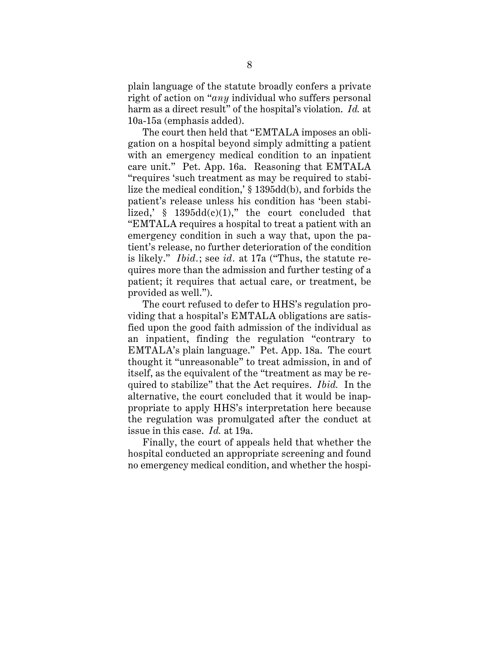plain language of the statute broadly confers a private right of action on "*any* individual who suffers personal harm as a direct result" of the hospital's violation. *Id.* at 10a-15a (emphasis added).

The court then held that "EMTALA imposes an obligation on a hospital beyond simply admitting a patient with an emergency medical condition to an inpatient care unit." Pet. App. 16a. Reasoning that EMTALA "requires 'such treatment as may be required to stabilize the medical condition,' § 1395dd(b), and forbids the patient's release unless his condition has 'been stabilized,'  $§$  1395dd(c)(1)," the court concluded that "EMTALA requires a hospital to treat a patient with an emergency condition in such a way that, upon the patient's release, no further deterioration of the condition is likely." *Ibid.*; see *id.* at 17a ("Thus, the statute requires more than the admission and further testing of a patient; it requires that actual care, or treatment, be provided as well.").

The court refused to defer to HHS's regulation providing that a hospital's EMTALA obligations are satisfied upon the good faith admission of the individual as an inpatient, finding the regulation "contrary to EMTALA's plain language." Pet. App. 18a. The court thought it "unreasonable" to treat admission, in and of itself, as the equivalent of the "treatment as may be required to stabilize" that the Act requires. *Ibid.* In the alternative, the court concluded that it would be inappropriate to apply HHS's interpretation here because the regulation was promulgated after the conduct at issue in this case. *Id.* at 19a.

Finally, the court of appeals held that whether the hospital conducted an appropriate screening and found no emergency medical condition, and whether the hospi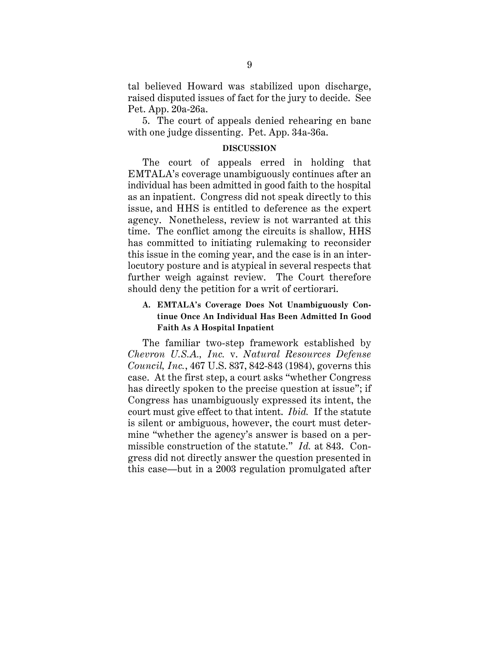tal believed Howard was stabilized upon discharge, raised disputed issues of fact for the jury to decide. See Pet. App. 20a-26a.

5. The court of appeals denied rehearing en banc with one judge dissenting. Pet. App. 34a-36a.

#### **DISCUSSION**

The court of appeals erred in holding that EMTALA's coverage unambiguously continues after an individual has been admitted in good faith to the hospital as an inpatient. Congress did not speak directly to this issue, and HHS is entitled to deference as the expert agency. Nonetheless, review is not warranted at this time. The conflict among the circuits is shallow, HHS has committed to initiating rulemaking to reconsider this issue in the coming year, and the case is in an interlocutory posture and is atypical in several respects that further weigh against review. The Court therefore should deny the petition for a writ of certiorari.

# **A. EMTALA's Coverage Does Not Unambiguously Continue Once An Individual Has Been Admitted In Good Faith As A Hospital Inpatient**

The familiar two-step framework established by *Chevron U.S.A., Inc.* v. *Natural Resources Defense Council, Inc.*, 467 U.S. 837, 842-843 (1984), governs this case. At the first step, a court asks "whether Congress has directly spoken to the precise question at issue"; if Congress has unambiguously expressed its intent, the court must give effect to that intent. *Ibid.* If the statute is silent or ambiguous, however, the court must determine "whether the agency's answer is based on a permissible construction of the statute." *Id.* at 843. Congress did not directly answer the question presented in this case—but in a 2003 regulation promulgated after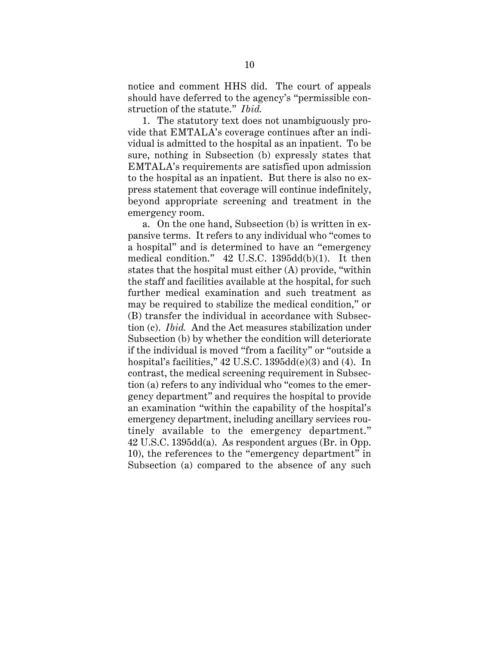notice and comment HHS did. The court of appeals should have deferred to the agency's "permissible construction of the statute." *Ibid.*

1. The statutory text does not unambiguously provide that EMTALA's coverage continues after an individual is admitted to the hospital as an inpatient. To be sure, nothing in Subsection (b) expressly states that EMTALA's requirements are satisfied upon admission to the hospital as an inpatient. But there is also no express statement that coverage will continue indefinitely, beyond appropriate screening and treatment in the emergency room.

a. On the one hand, Subsection (b) is written in expansive terms. It refers to any individual who "comes to a hospital" and is determined to have an "emergency medical condition." 42 U.S.C. 1395dd(b)(1). It then states that the hospital must either (A) provide, "within the staff and facilities available at the hospital, for such further medical examination and such treatment as may be required to stabilize the medical condition," or (B) transfer the individual in accordance with Subsection (c). *Ibid.* And the Act measures stabilization under Subsection (b) by whether the condition will deteriorate if the individual is moved "from a facility" or "outside a hospital's facilities," 42 U.S.C. 1395dd(e)(3) and (4). In contrast, the medical screening requirement in Subsection (a) refers to any individual who "comes to the emergency department" and requires the hospital to provide an examination "within the capability of the hospital's emergency department, including ancillary services routinely available to the emergency department." 42 U.S.C. 1395dd(a). As respondent argues (Br. in Opp. 10), the references to the "emergency department" in Subsection (a) compared to the absence of any such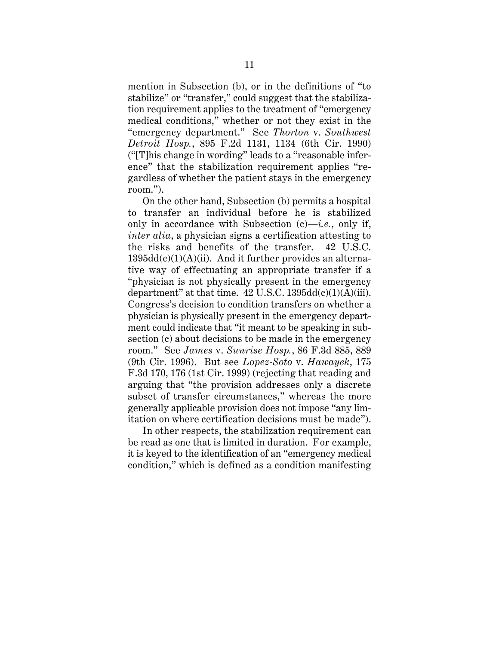mention in Subsection (b), or in the definitions of "to stabilize" or "transfer," could suggest that the stabilization requirement applies to the treatment of "emergency medical conditions," whether or not they exist in the "emergency department." See *Thorton* v. *Southwest Detroit Hosp.*, 895 F.2d 1131, 1134 (6th Cir. 1990) ("[T]his change in wording" leads to a "reasonable inference" that the stabilization requirement applies "regardless of whether the patient stays in the emergency room.").

On the other hand, Subsection (b) permits a hospital to transfer an individual before he is stabilized only in accordance with Subsection  $(c)$ —*i.e.*, only if, *inter alia*, a physician signs a certification attesting to the risks and benefits of the transfer. 42 U.S.C.  $1395dd(c)(1)(A)(ii)$ . And it further provides an alternative way of effectuating an appropriate transfer if a "physician is not physically present in the emergency department" at that time.  $42 \text{ U.S.C. } 1395 \text{dd}(c)(1)(A)(iii)$ . Congress's decision to condition transfers on whether a physician is physically present in the emergency department could indicate that "it meant to be speaking in subsection (c) about decisions to be made in the emergency room." See *James* v. *Sunrise Hosp.*, 86 F.3d 885, 889 (9th Cir. 1996). But see *Lopez-Soto* v. *Hawayek*, 175 F.3d 170, 176 (1st Cir. 1999) (rejecting that reading and arguing that "the provision addresses only a discrete subset of transfer circumstances," whereas the more generally applicable provision does not impose "any limitation on where certification decisions must be made").

In other respects, the stabilization requirement can be read as one that is limited in duration. For example, it is keyed to the identification of an "emergency medical condition," which is defined as a condition manifesting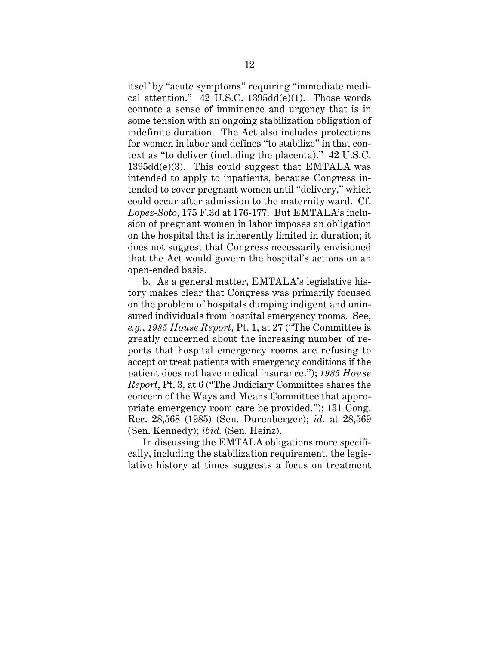itself by "acute symptoms" requiring "immediate medical attention."  $42$  U.S.C. 1395dd(e)(1). Those words connote a sense of imminence and urgency that is in some tension with an ongoing stabilization obligation of indefinite duration. The Act also includes protections for women in labor and defines "to stabilize" in that context as "to deliver (including the placenta)." 42 U.S.C. 1395dd(e)(3). This could suggest that EMTALA was intended to apply to inpatients, because Congress intended to cover pregnant women until "delivery," which could occur after admission to the maternity ward. Cf. *Lopez-Soto*, 175 F.3d at 176-177. But EMTALA's inclusion of pregnant women in labor imposes an obligation on the hospital that is inherently limited in duration; it does not suggest that Congress necessarily envisioned that the Act would govern the hospital's actions on an open-ended basis.

b. As a general matter, EMTALA's legislative history makes clear that Congress was primarily focused on the problem of hospitals dumping indigent and uninsured individuals from hospital emergency rooms. See, *e.g.*, *1985 House Report*, Pt. 1, at 27 ("The Committee is greatly concerned about the increasing number of reports that hospital emergency rooms are refusing to accept or treat patients with emergency conditions if the patient does not have medical insurance."); *1985 House Report*, Pt. 3, at 6 ("The Judiciary Committee shares the concern of the Ways and Means Committee that appropriate emergency room care be provided."); 131 Cong. Rec. 28,568 (1985) (Sen. Durenberger); *id.* at 28,569 (Sen. Kennedy); *ibid.* (Sen. Heinz).

In discussing the EMTALA obligations more specifically, including the stabilization requirement, the legislative history at times suggests a focus on treatment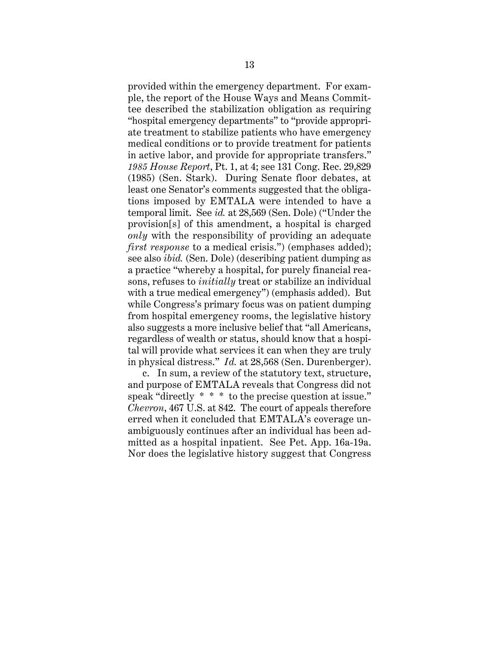provided within the emergency department. For example, the report of the House Ways and Means Committee described the stabilization obligation as requiring "hospital emergency departments" to "provide appropriate treatment to stabilize patients who have emergency medical conditions or to provide treatment for patients in active labor, and provide for appropriate transfers." *1985 House Report*, Pt. 1, at 4; see 131 Cong. Rec. 29,829 (1985) (Sen. Stark). During Senate floor debates, at least one Senator's comments suggested that the obligations imposed by EMTALA were intended to have a temporal limit. See *id.* at 28,569 (Sen. Dole) ("Under the provision[s] of this amendment, a hospital is charged *only* with the responsibility of providing an adequate *first response* to a medical crisis.") (emphases added); see also *ibid.* (Sen. Dole) (describing patient dumping as a practice "whereby a hospital, for purely financial reasons, refuses to *initially* treat or stabilize an individual with a true medical emergency") (emphasis added). But while Congress's primary focus was on patient dumping from hospital emergency rooms, the legislative history also suggests a more inclusive belief that "all Americans, regardless of wealth or status, should know that a hospital will provide what services it can when they are truly in physical distress." *Id.* at 28,568 (Sen. Durenberger).

c. In sum, a review of the statutory text, structure, and purpose of EMTALA reveals that Congress did not speak "directly \* \* \* to the precise question at issue." *Chevron*, 467 U.S. at 842. The court of appeals therefore erred when it concluded that EMTALA's coverage unambiguously continues after an individual has been admitted as a hospital inpatient. See Pet. App. 16a-19a. Nor does the legislative history suggest that Congress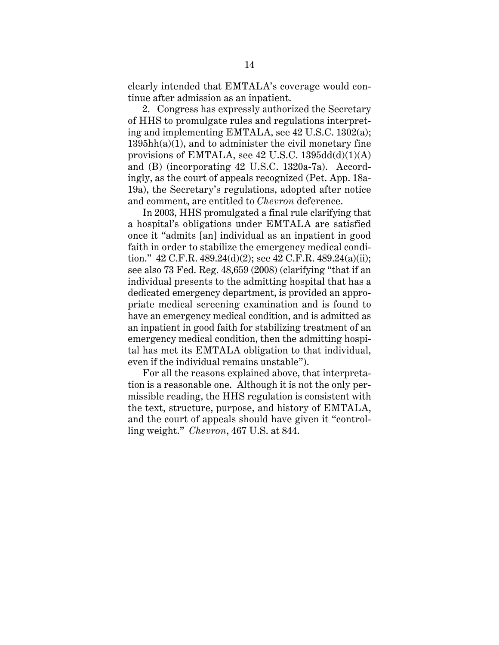clearly intended that EMTALA's coverage would continue after admission as an inpatient.

2. Congress has expressly authorized the Secretary of HHS to promulgate rules and regulations interpreting and implementing EMTALA, see 42 U.S.C. 1302(a);  $1395hh(a)(1)$ , and to administer the civil monetary fine provisions of EMTALA, see 42 U.S.C. 1395dd(d)(1)(A) and (B) (incorporating 42 U.S.C. 1320a-7a). Accordingly, as the court of appeals recognized (Pet. App. 18a-19a), the Secretary's regulations, adopted after notice and comment, are entitled to *Chevron* deference.

In 2003, HHS promulgated a final rule clarifying that a hospital's obligations under EMTALA are satisfied once it "admits [an] individual as an inpatient in good faith in order to stabilize the emergency medical condition."  $42 \text{ C.F.R. } 489.24(d)(2)$ ; see  $42 \text{ C.F.R. } 489.24(a)(ii)$ ; see also 73 Fed. Reg. 48,659 (2008) (clarifying "that if an individual presents to the admitting hospital that has a dedicated emergency department, is provided an appropriate medical screening examination and is found to have an emergency medical condition, and is admitted as an inpatient in good faith for stabilizing treatment of an emergency medical condition, then the admitting hospital has met its EMTALA obligation to that individual, even if the individual remains unstable").

For all the reasons explained above, that interpretation is a reasonable one. Although it is not the only permissible reading, the HHS regulation is consistent with the text, structure, purpose, and history of EMTALA, and the court of appeals should have given it "controlling weight." *Chevron*, 467 U.S. at 844.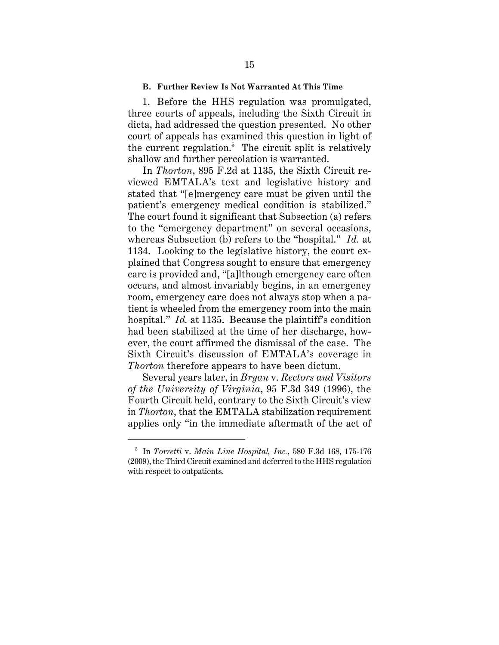#### **B. Further Review Is Not Warranted At This Time**

1. Before the HHS regulation was promulgated, three courts of appeals, including the Sixth Circuit in dicta, had addressed the question presented. No other court of appeals has examined this question in light of the current regulation.<sup>5</sup> The circuit split is relatively shallow and further percolation is warranted.

In *Thorton*, 895 F.2d at 1135, the Sixth Circuit reviewed EMTALA's text and legislative history and stated that "[e]mergency care must be given until the patient's emergency medical condition is stabilized." The court found it significant that Subsection (a) refers to the "emergency department" on several occasions, whereas Subsection (b) refers to the "hospital." *Id.* at 1134. Looking to the legislative history, the court explained that Congress sought to ensure that emergency care is provided and, "[a]lthough emergency care often occurs, and almost invariably begins, in an emergency room, emergency care does not always stop when a patient is wheeled from the emergency room into the main hospital." *Id.* at 1135. Because the plaintiff's condition had been stabilized at the time of her discharge, however, the court affirmed the dismissal of the case. The Sixth Circuit's discussion of EMTALA's coverage in *Thorton* therefore appears to have been dictum.

Several years later, in *Bryan* v. *Rectors and Visitors of the University of Virginia*, 95 F.3d 349 (1996), the Fourth Circuit held, contrary to the Sixth Circuit's view in *Thorton*, that the EMTALA stabilization requirement applies only "in the immediate aftermath of the act of

<sup>5</sup> In *Torretti* v. *Main Line Hospital, Inc.*, 580 F.3d 168, 175-176 (2009), the Third Circuit examined and deferred to the HHS regulation with respect to outpatients.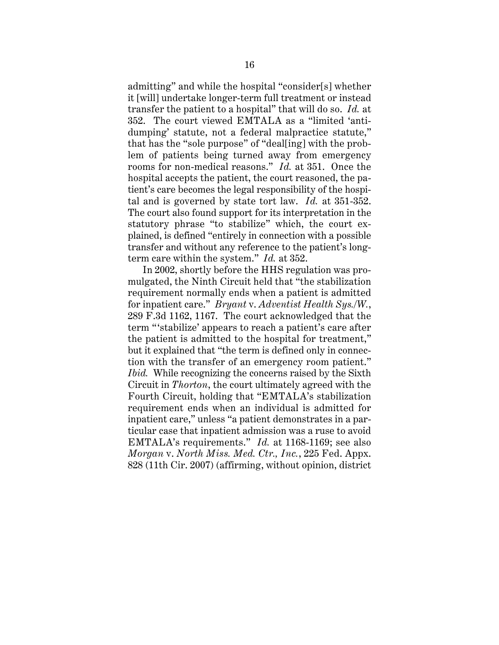admitting" and while the hospital "consider[s] whether it [will] undertake longer-term full treatment or instead transfer the patient to a hospital" that will do so. *Id.* at 352. The court viewed EMTALA as a "limited 'antidumping' statute, not a federal malpractice statute," that has the "sole purpose" of "deal[ing] with the problem of patients being turned away from emergency rooms for non-medical reasons." *Id.* at 351.Once the hospital accepts the patient, the court reasoned, the patient's care becomes the legal responsibility of the hospital and is governed by state tort law. *Id.* at 351-352. The court also found support for its interpretation in the statutory phrase "to stabilize" which, the court explained, is defined "entirely in connection with a possible transfer and without any reference to the patient's longterm care within the system." *Id.* at 352.

In 2002, shortly before the HHS regulation was promulgated, the Ninth Circuit held that "the stabilization requirement normally ends when a patient is admitted for inpatient care." *Bryant* v. *Adventist Health Sys./W.*, 289 F.3d 1162, 1167. The court acknowledged that the term "'stabilize' appears to reach a patient's care after the patient is admitted to the hospital for treatment," but it explained that "the term is defined only in connection with the transfer of an emergency room patient." *Ibid.* While recognizing the concerns raised by the Sixth Circuit in *Thorton*, the court ultimately agreed with the Fourth Circuit, holding that "EMTALA's stabilization requirement ends when an individual is admitted for inpatient care," unless "a patient demonstrates in a particular case that inpatient admission was a ruse to avoid EMTALA's requirements." *Id.* at 1168-1169; see also *Morgan* v. *North Miss. Med. Ctr., Inc.*, 225 Fed. Appx. 828 (11th Cir. 2007) (affirming, without opinion, district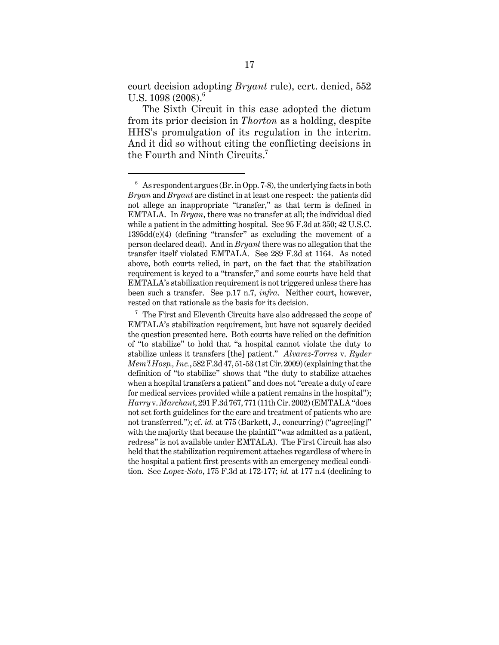court decision adopting *Bryant* rule), cert. denied, 552 U.S.  $1098 (2008)^6$ 

The Sixth Circuit in this case adopted the dictum from its prior decision in *Thorton* as a holding, despite HHS's promulgation of its regulation in the interim. And it did so without citing the conflicting decisions in the Fourth and Ninth Circuits.<sup>7</sup>

 $6\text{ As}$  respondent argues (Br. in Opp. 7-8), the underlying facts in both *Bryan* and *Bryant* are distinct in at least one respect: the patients did not allege an inappropriate "transfer," as that term is defined in EMTALA. In *Bryan*, there was no transfer at all; the individual died while a patient in the admitting hospital. See 95 F.3d at 350; 42 U.S.C. 1395dd(e)(4) (defining "transfer" as excluding the movement of a person declared dead). And in *Bryant* there was no allegation that the transfer itself violated EMTALA. See 289 F.3d at 1164. As noted above, both courts relied, in part, on the fact that the stabilization requirement is keyed to a "transfer," and some courts have held that EMTALA's stabilization requirement is not triggered unless there has been such a transfer. See p.17 n.7, *infra*. Neither court, however, rested on that rationale as the basis for its decision.

<sup>7</sup> The First and Eleventh Circuits have also addressed the scope of EMTALA's stabilization requirement, but have not squarely decided the question presented here. Both courts have relied on the definition of "to stabilize" to hold that "a hospital cannot violate the duty to stabilize unless it transfers [the] patient." *Alvarez-Torres* v. *Ryder Mem'l Hosp., Inc.*, 582 F.3d 47, 51-53 (1st Cir. 2009) (explaining that the definition of "to stabilize" shows that "the duty to stabilize attaches when a hospital transfers a patient" and does not "create a duty of care for medical services provided while a patient remains in the hospital"); *Harry* v. *Marchant*, 291 F.3d 767, 771 (11th Cir. 2002) (EMTALA "does not set forth guidelines for the care and treatment of patients who are not transferred."); cf. *id.* at 775 (Barkett, J., concurring) ("agree[ing]" with the majority that because the plaintiff "was admitted as a patient, redress" is not available under EMTALA). The First Circuit has also held that the stabilization requirement attaches regardless of where in the hospital a patient first presents with an emergency medical condition. See *Lopez-Soto*, 175 F.3d at 172-177; *id.* at 177 n.4 (declining to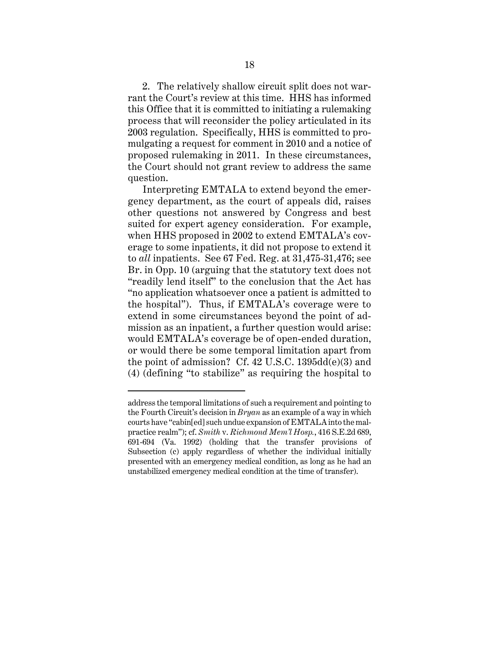2. The relatively shallow circuit split does not warrant the Court's review at this time. HHS has informed this Office that it is committed to initiating a rulemaking process that will reconsider the policy articulated in its 2003 regulation. Specifically, HHS is committed to promulgating a request for comment in 2010 and a notice of proposed rulemaking in 2011. In these circumstances, the Court should not grant review to address the same question.

Interpreting EMTALA to extend beyond the emergency department, as the court of appeals did, raises other questions not answered by Congress and best suited for expert agency consideration. For example, when HHS proposed in 2002 to extend EMTALA's coverage to some inpatients, it did not propose to extend it to *all* inpatients. See 67 Fed. Reg. at 31,475-31,476; see Br. in Opp. 10 (arguing that the statutory text does not "readily lend itself" to the conclusion that the Act has "no application whatsoever once a patient is admitted to the hospital"). Thus, if EMTALA's coverage were to extend in some circumstances beyond the point of admission as an inpatient, a further question would arise: would EMTALA's coverage be of open-ended duration, or would there be some temporal limitation apart from the point of admission? Cf. 42 U.S.C. 1395dd(e)(3) and (4) (defining "to stabilize" as requiring the hospital to

address the temporal limitations of such a requirement and pointing to the Fourth Circuit's decision in *Bryan* as an example of a way in which courts have "cabin[ed] such undue expansion of EMTALA into the malpractice realm"); cf. *Smith* v. *Richmond Mem'l Hosp.*, 416 S.E.2d 689, 691-694 (Va. 1992) (holding that the transfer provisions of Subsection (c) apply regardless of whether the individual initially presented with an emergency medical condition, as long as he had an unstabilized emergency medical condition at the time of transfer).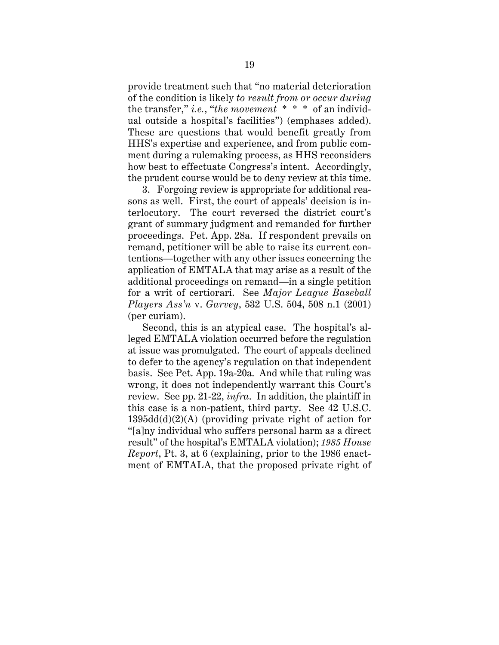provide treatment such that "no material deterioration of the condition is likely *to result from or occur during* the transfer," *i.e.*, "*the movement* \* \* \* of an individual outside a hospital's facilities") (emphases added). These are questions that would benefit greatly from HHS's expertise and experience, and from public comment during a rulemaking process, as HHS reconsiders how best to effectuate Congress's intent. Accordingly, the prudent course would be to deny review at this time.

3. Forgoing review is appropriate for additional reasons as well. First, the court of appeals' decision is interlocutory. The court reversed the district court's grant of summary judgment and remanded for further proceedings. Pet. App. 28a. If respondent prevails on remand, petitioner will be able to raise its current contentions—together with any other issues concerning the application of EMTALA that may arise as a result of the additional proceedings on remand—in a single petition for a writ of certiorari. See *Major League Baseball Players Ass'n* v. *Garvey*, 532 U.S. 504, 508 n.1 (2001) (per curiam).

Second, this is an atypical case. The hospital's alleged EMTALA violation occurred before the regulation at issue was promulgated. The court of appeals declined to defer to the agency's regulation on that independent basis. See Pet. App. 19a-20a. And while that ruling was wrong, it does not independently warrant this Court's review. See pp. 21-22, *infra*. In addition, the plaintiff in this case is a non-patient, third party. See 42 U.S.C. 1395dd(d)(2)(A) (providing private right of action for "[a]ny individual who suffers personal harm as a direct result" of the hospital's EMTALA violation); *1985 House Report*, Pt. 3, at 6 (explaining, prior to the 1986 enactment of EMTALA, that the proposed private right of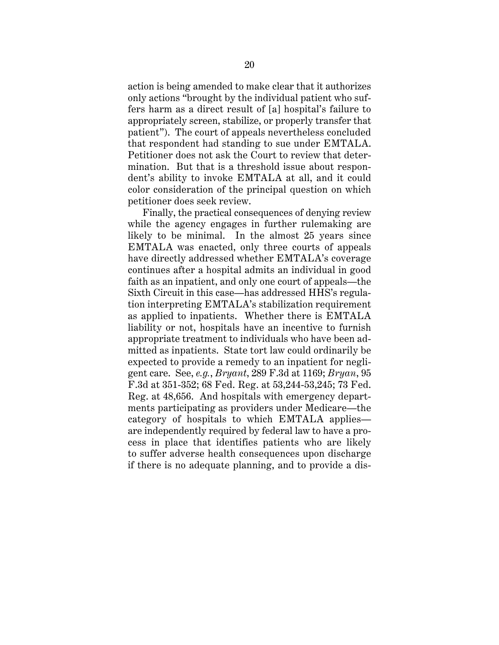action is being amended to make clear that it authorizes only actions "brought by the individual patient who suffers harm as a direct result of [a] hospital's failure to appropriately screen, stabilize, or properly transfer that patient"). The court of appeals nevertheless concluded that respondent had standing to sue under EMTALA. Petitioner does not ask the Court to review that determination. But that is a threshold issue about respondent's ability to invoke EMTALA at all, and it could color consideration of the principal question on which petitioner does seek review.

Finally, the practical consequences of denying review while the agency engages in further rulemaking are likely to be minimal. In the almost 25 years since EMTALA was enacted, only three courts of appeals have directly addressed whether EMTALA's coverage continues after a hospital admits an individual in good faith as an inpatient, and only one court of appeals—the Sixth Circuit in this case—has addressed HHS's regulation interpreting EMTALA's stabilization requirement as applied to inpatients. Whether there is EMTALA liability or not, hospitals have an incentive to furnish appropriate treatment to individuals who have been admitted as inpatients. State tort law could ordinarily be expected to provide a remedy to an inpatient for negligent care. See, *e.g.*, *Bryant*, 289 F.3d at 1169; *Bryan*, 95 F.3d at 351-352; 68 Fed. Reg. at 53,244-53,245; 73 Fed. Reg. at 48,656. And hospitals with emergency departments participating as providers under Medicare—the category of hospitals to which EMTALA applies are independently required by federal law to have a process in place that identifies patients who are likely to suffer adverse health consequences upon discharge if there is no adequate planning, and to provide a dis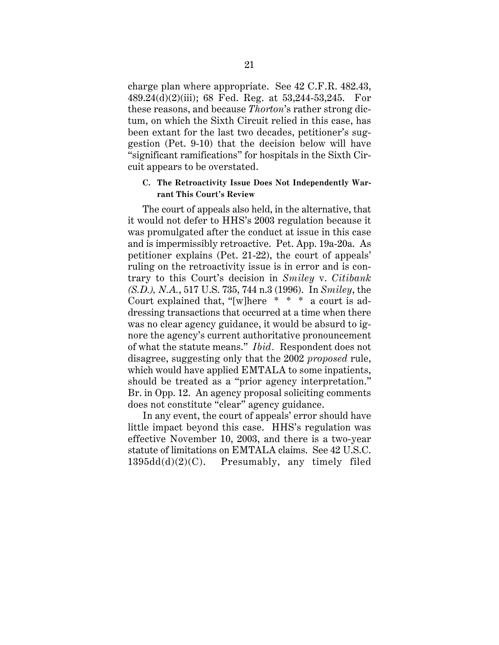charge plan where appropriate. See 42 C.F.R. 482.43, 489.24(d)(2)(iii); 68 Fed. Reg. at 53,244-53,245. For these reasons, and because *Thorton*'s rather strong dictum, on which the Sixth Circuit relied in this case, has been extant for the last two decades, petitioner's suggestion (Pet. 9-10) that the decision below will have "significant ramifications" for hospitals in the Sixth Circuit appears to be overstated.

#### **C. The Retroactivity Issue Does Not Independently Warrant This Court's Review**

The court of appeals also held, in the alternative, that it would not defer to HHS's 2003 regulation because it was promulgated after the conduct at issue in this case and is impermissibly retroactive. Pet. App. 19a-20a. As petitioner explains (Pet. 21-22), the court of appeals' ruling on the retroactivity issue is in error and is contrary to this Court's decision in *Smiley* v. *Citibank (S.D.), N.A.*, 517 U.S. 735, 744 n.3 (1996). In *Smiley*, the Court explained that, "[w]here \* \* \* a court is addressing transactions that occurred at a time when there was no clear agency guidance, it would be absurd to ignore the agency's current authoritative pronouncement of what the statute means." *Ibid.* Respondent does not disagree, suggesting only that the 2002 *proposed* rule, which would have applied EMTALA to some inpatients, should be treated as a "prior agency interpretation." Br. in Opp. 12. An agency proposal soliciting comments does not constitute "clear" agency guidance.

In any event, the court of appeals' error should have little impact beyond this case. HHS's regulation was effective November 10, 2003, and there is a two-year statute of limitations on EMTALA claims. See 42 U.S.C. 1395dd(d)(2)(C). Presumably, any timely filed